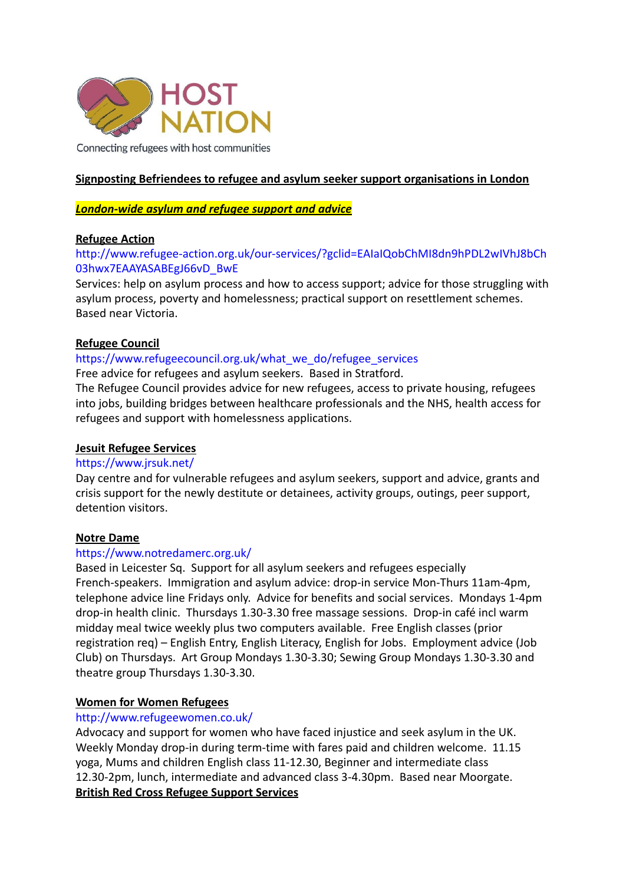

Connecting refugees with host communities

# **Signposting Befriendees to refugee and asylum seeker support organisations in London**

# *London-wide asylum and refugee support and advice*

# **Refugee Action**

# [http://www.refugee-action.org.uk/our-services/?gclid=EAIaIQobChMI8dn9hPDL2wIVhJ8bCh](http://www.refugee-action.org.uk/our-services/?gclid=EAIaIQobChMI8dn9hPDL2wIVhJ8bCh03hwx7EAAYASABEgJ66vD_BwE) [03hwx7EAAYASABEgJ66vD\\_BwE](http://www.refugee-action.org.uk/our-services/?gclid=EAIaIQobChMI8dn9hPDL2wIVhJ8bCh03hwx7EAAYASABEgJ66vD_BwE)

Services: help on asylum process and how to access support; advice for those struggling with asylum process, poverty and homelessness; practical support on resettlement schemes. Based near Victoria.

# **Refugee Council**

# [https://www.refugeecouncil.org.uk/what\\_we\\_do/refugee\\_services](https://www.refugeecouncil.org.uk/what_we_do/refugee_services)

Free advice for refugees and asylum seekers. Based in Stratford.

The Refugee Council provides advice for new refugees, access to private housing, refugees into jobs, building bridges between healthcare professionals and the NHS, health access for refugees and support with homelessness applications.

### **Jesuit Refugee Services**

### <https://www.jrsuk.net/>

Day centre and for vulnerable refugees and asylum seekers, support and advice, grants and crisis support for the newly destitute or detainees, activity groups, outings, peer support, detention visitors.

### **Notre Dame**

# <https://www.notredamerc.org.uk/>

Based in Leicester Sq. Support for all asylum seekers and refugees especially French-speakers. Immigration and asylum advice: drop-in service Mon-Thurs 11am-4pm, telephone advice line Fridays only. Advice for benefits and social services. Mondays 1-4pm drop-in health clinic. Thursdays 1.30-3.30 free massage sessions. Drop-in café incl warm midday meal twice weekly plus two computers available. Free English classes (prior registration req) – English Entry, English Literacy, English for Jobs. Employment advice (Job Club) on Thursdays. Art Group Mondays 1.30-3.30; Sewing Group Mondays 1.30-3.30 and theatre group Thursdays 1.30-3.30.

### **Women for Women Refugees**

# <http://www.refugeewomen.co.uk/>

Advocacy and support for women who have faced injustice and seek asylum in the UK. Weekly Monday drop-in during term-time with fares paid and children welcome. 11.15 yoga, Mums and children English class 11-12.30, Beginner and intermediate class 12.30-2pm, lunch, intermediate and advanced class 3-4.30pm. Based near Moorgate. **British Red Cross Refugee Support Services**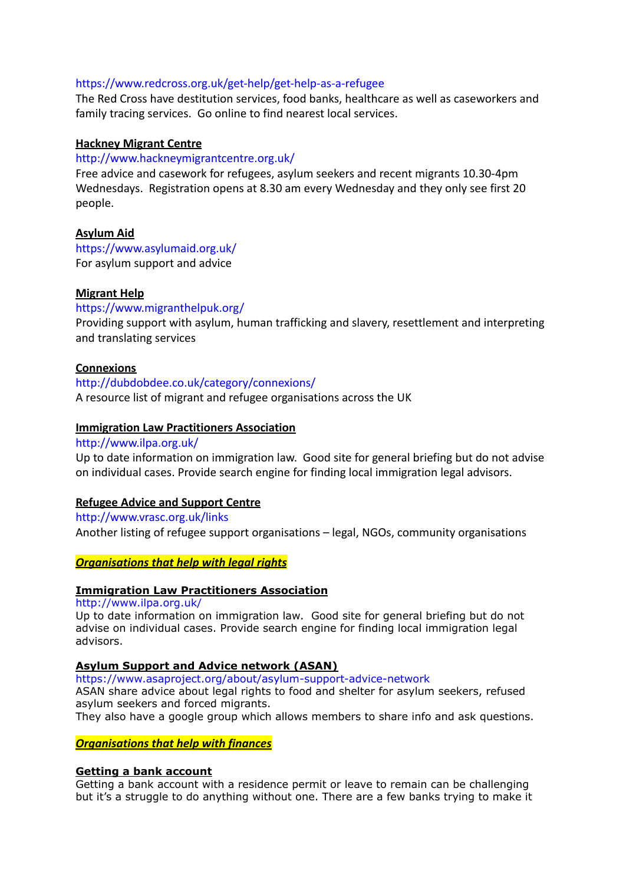## <https://www.redcross.org.uk/get-help/get-help-as-a-refugee>

The Red Cross have destitution services, food banks, healthcare as well as caseworkers and family tracing services. Go online to find nearest local services.

### **Hackney Migrant Centre**

### <http://www.hackneymigrantcentre.org.uk/>

Free advice and casework for refugees, asylum seekers and recent migrants 10.30-4pm Wednesdays. Registration opens at 8.30 am every Wednesday and they only see first 20 people.

## **Asylum Aid**

<https://www.asylumaid.org.uk/> For asylum support and advice

## **Migrant Help**

### <https://www.migranthelpuk.org/>

Providing support with asylum, human trafficking and slavery, resettlement and interpreting and translating services

## **Connexions**

<http://dubdobdee.co.uk/category/connexions/> A resource list of migrant and refugee organisations across the UK

## **Immigration Law Practitioners Association**

## <http://www.ilpa.org.uk/>

Up to date information on immigration law. Good site for general briefing but do not advise on individual cases. Provide search engine for finding local immigration legal advisors.

### **Refugee Advice and Support Centre**

#### <http://www.vrasc.org.uk/links>

Another listing of refugee support organisations – legal, NGOs, community organisations

### *Organisations that help with legal rights*

## **Immigration Law Practitioners Association**

http://www.ilpa.org.uk/

Up to date information on immigration law. Good site for general briefing but do not advise on individual cases. Provide search engine for finding local immigration legal advisors.

## **Asylum Support and Advice network (ASAN)**

https://www.asaproject.org/about/asylum-support-advice-network

ASAN share advice about legal rights to food and shelter for asylum seekers, refused asylum seekers and forced migrants.

They also have a google group which allows members to share info and ask questions.

*Organisations that help with finances*

### **Getting a bank account**

Getting a bank account with a residence permit or leave to remain can be challenging but it's a struggle to do anything without one. There are a few banks trying to make it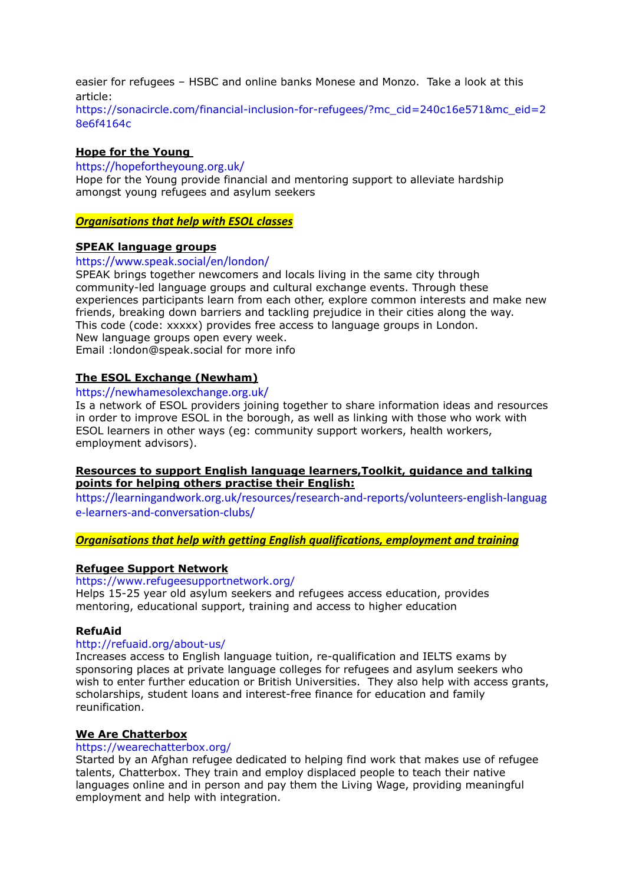easier for refugees – HSBC and online banks Monese and Monzo. Take a look at this article:

https://sonacircle.com/financial-inclusion-for-refugees/?mc\_cid=240c16e571&mc\_eid=2 8e6f4164c

### **Hope for the Young**

https://hopefortheyoung.org.uk/

Hope for the Young provide financial and mentoring support to alleviate hardship amongst young refugees and asylum seekers

*Organisations that help with ESOL classes*

### **SPEAK language groups**

https://www.speak.social/en/london/

SPEAK brings together newcomers and locals living in the same city through community-led language groups and cultural exchange events. Through these experiences participants learn from each other, explore common interests and make new friends, breaking down barriers and tackling prejudice in their cities along the way. This code (code: xxxxx) provides free access to language groups in London. New language groups open every week. Email :london@speak.social for more info

### **The ESOL Exchange [\(Newham\)](https://newhamesolexchange.org.uk/)**

#### https://newhamesolexchange.org.uk/

Is a network of ESOL providers joining together to share information ideas and resources in order to improve ESOL in the borough, as well as linking with those who work with ESOL learners in other ways (eg: community support workers, health workers, employment advisors).

### **Resources to support English language learners,Toolkit, guidance and talking points for helping others practise their English:**

https://learningandwork.org.uk/resources/research-and-reports/volunteers-english-languag e-learners-and-conversation-clubs/

*Organisations that help with getting English qualifications, employment and training*

### **Refugee Support Network**

<https://www.refugeesupportnetwork.org/> Helps 15-25 year old asylum seekers and refugees access education, provides mentoring, educational support, training and access to higher education

#### **RefuAid**

#### <http://refuaid.org/about-us/>

Increases access to English language tuition, re-qualification and IELTS exams by sponsoring places at private language colleges for refugees and asylum seekers who wish to enter further education or British Universities. They also help with access grants, scholarships, student loans and interest-free finance for education and family reunification.

#### **We Are Chatterbox**

#### <https://wearechatterbox.org/>

Started by an Afghan refugee dedicated to helping find work that makes use of refugee talents, Chatterbox. They train and employ displaced people to teach their native languages online and in person and pay them the Living Wage, providing meaningful employment and help with integration.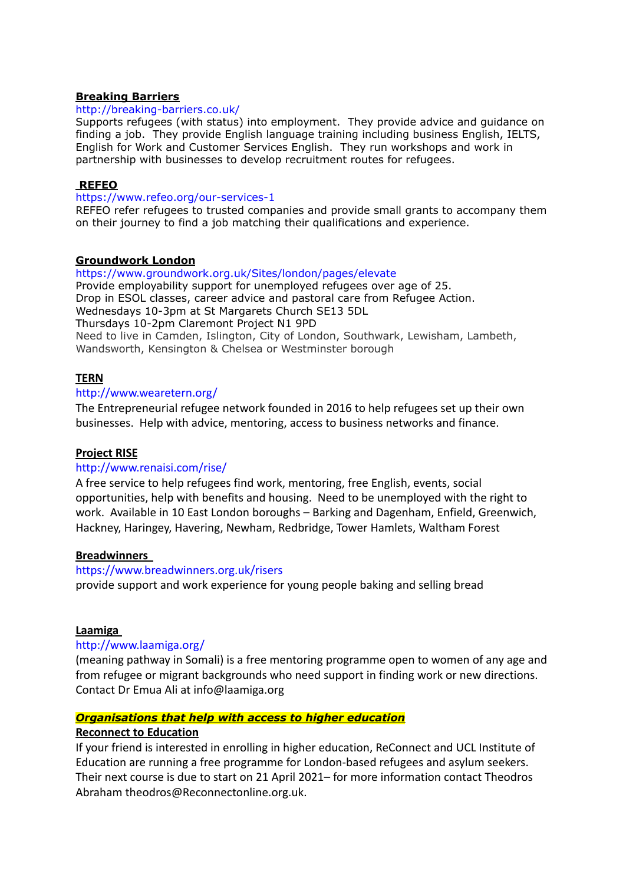### **Breaking Barriers**

### <http://breaking-barriers.co.uk/>

Supports refugees (with status) into employment. They provide advice and guidance on finding a job. They provide English language training including business English, IELTS, English for Work and Customer Services English. They run workshops and work in partnership with businesses to develop recruitment routes for refugees.

#### **[REFEO](https://www.refeo.org/our-services-1)**

#### https://www.refeo.org/our-services-1

REFEO refer refugees to trusted companies and provide small grants to accompany them on their journey to find a job matching their qualifications and experience.

#### **Groundwork London**

<https://www.groundwork.org.uk/Sites/london/pages/elevate> Provide employability support for unemployed refugees over age of 25. Drop in ESOL classes, career advice and pastoral care from Refugee Action. Wednesdays 10-3pm at St Margarets Church SE13 5DL Thursdays 10-2pm Claremont Project N1 9PD Need to live in Camden, Islington, City of London, Southwark, Lewisham, Lambeth, Wandsworth, Kensington & Chelsea or Westminster borough

### **TERN**

#### <http://www.wearetern.org/>

The Entrepreneurial refugee network founded in 2016 to help refugees set up their own businesses. Help with advice, mentoring, access to business networks and finance.

### **Project RISE**

### <http://www.renaisi.com/rise/>

A free service to help refugees find work, mentoring, free English, events, social opportunities, help with benefits and housing. Need to be unemployed with the right to work. Available in 10 East London boroughs – Barking and Dagenham, Enfield, Greenwich, Hackney, Haringey, Havering, Newham, Redbridge, Tower Hamlets, Waltham Forest

### **Breadwinners**

#### <https://www.breadwinners.org.uk/risers>

provide support and work experience for young people baking and selling bread

### **Laamiga**

### http://www.laamiga.org/

(meaning pathway in Somali) is a free mentoring programme open to women of any age and from refugee or migrant backgrounds who need support in finding work or new directions. Contact Dr Emua Ali at info@laamiga.org

### *Organisations that help with access to higher education*

# **Reconnect to Education**

If your friend is interested in enrolling in higher education, ReConnect and UCL Institute of Education are running a free programme for London-based refugees and asylum seekers. Their next course is due to start on 21 April 2021– for more information contact Theodros Abraham theodros@Reconnectonline.org.uk.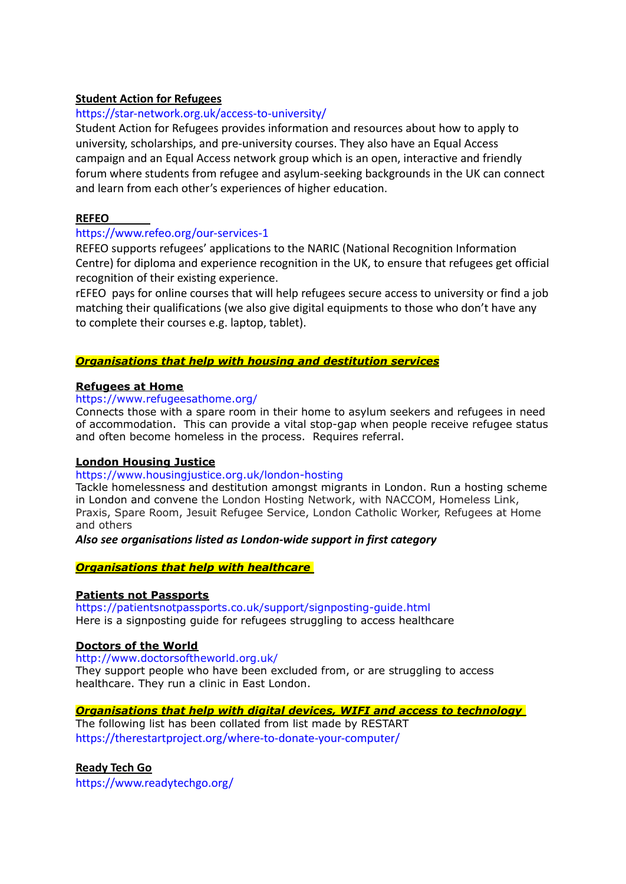# **[Student Action for Refugees](https://star-network.org.uk/access-to-university/)**

# <https://star-network.org.uk/access-to-university/>

Student Action for Refugees provides information and resources about how to apply to university, scholarships, and pre-university courses. They also have an Equal Access campaign and an [Equal Access network group](https://star-network.org.uk/equal-access-network/) which is an open, interactive and friendly forum where students from refugee and asylum-seeking backgrounds in the UK can connect and learn from each other's experiences of higher education.

## **[REFEO](https://www.refeo.org/our-services-1)**

## https://www.refeo.org/our-services-1

REFEO supports refugees' applications to the NARIC (National Recognition Information Centre) for diploma and experience recognition in the UK, to ensure that refugees get official recognition of their existing experience.

rEFEO pays for online courses that will help refugees secure access to university or find a job matching their qualifications (we also give digital equipments to those who don't have any to complete their courses e.g. laptop, tablet).

## *Organisations that help with housing and destitution services*

### **Refugees at Home**

### <https://www.refugeesathome.org/>

Connects those with a spare room in their home to asylum seekers and refugees in need of accommodation. This can provide a vital stop-gap when people receive refugee status and often become homeless in the process. Requires referral.

### **London Housing Justice**

### <https://www.housingjustice.org.uk/london-hosting>

Tackle homelessness and destitution amongst migrants in London. Run a hosting scheme in London and convene the London Hosting Network, with NACCOM, Homeless Link, Praxis, Spare Room, Jesuit Refugee Service, London Catholic Worker, Refugees at Home and others

### *Also see organisations listed as London-wide support in first category*

### *Organisations that help with healthcare*

### **Patients not [Passports](https://patientsnotpassports.co.uk/support/signposting-guide.html)**

https://patientsnotpassports.co.uk/support/signposting-guide.html Here is a signposting guide for refugees struggling to access healthcare

### **[Doctors](http://www.doctorsoftheworld.org.uk/) of the World**

http://www.doctorsoftheworld.org.uk/ They support people who have been excluded from, or are struggling to access healthcare. They run a clinic in East London.

### *Organisations that help with digital devices, WIFI and access to technology*

The following list has been collated from list made by [RESTART](https://therestartproject.org/where-to-donate-your-computer/) <https://therestartproject.org/where-to-donate-your-computer/>

### **[Ready Tech Go](https://www.readytechgo.org/)**

https://www.readytechgo.org/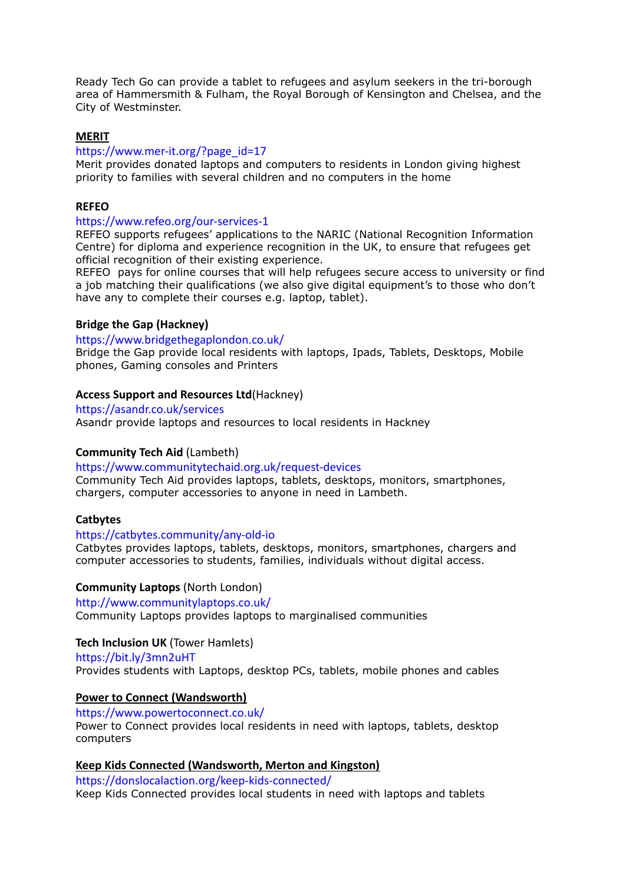Ready Tech Go can provide a tablet to refugees and asylum seekers in the tri-borough area of Hammersmith & Fulham, the Royal Borough of Kensington and Chelsea, and the City of Westminster.

### **[MERIT](https://www.mer-it.org/?page_id=17)**

### https://www.mer-it.org/?page\_id=17

Merit provides donated laptops and computers to residents in London giving highest priority to families with several children and no computers in the home

#### **[REFEO](https://www.refeo.org/our-services-1)**

#### https://www.refeo.org/our-services-1

REFEO supports refugees' applications to the NARIC (National Recognition Information Centre) for diploma and experience recognition in the UK, to ensure that refugees get official recognition of their existing experience.

REFEO pays for online courses that will help refugees secure access to university or find a job matching their qualifications (we also give digital equipment's to those who don't have any to complete their courses e.g. laptop, tablet).

#### **[Bridge the Gap \(Hackney\)](https://www.bridgethegaplondon.co.uk/)**

#### https://www.bridgethegaplondon.co.uk/

Bridge the Gap provide local residents with laptops, Ipads, Tablets, Desktops, Mobile phones, Gaming consoles and Printers

#### **[Access Support and Resources Ltd](https://asandr.co.uk/services)**(Hackney)

#### https://asandr.co.uk/services

Asandr provide laptops and resources to local residents in Hackney

### **[Community Tech Aid](https://www.communitytechaid.org.uk/request-devices)** (Lambeth)

https://www.communitytechaid.org.uk/request-devices Community Tech Aid provides laptops, tablets, desktops, monitors, smartphones, chargers, computer accessories to anyone in need in Lambeth.

#### **[Catbytes](https://catbytes.community/any-old-io)**

#### https://catbytes.community/any-old-io

Catbytes provides laptops, tablets, desktops, monitors, smartphones, chargers and computer accessories to students, families, individuals without digital access.

#### **[Community Laptops](http://www.communitylaptops.co.uk/)** (North London)

http://www.communitylaptops.co.uk/ Community Laptops provides laptops to marginalised communities

## **[Tech Inclusion UK](https://bit.ly/3mn2uHT)** (Tower Hamlets)

https://bit.ly/3mn2uHT Provides students with Laptops, desktop PCs, tablets, mobile phones and cables

### **[Power to Connect](https://www.powertoconnect.co.uk/) (Wandsworth)**

https://www.powertoconnect.co.uk/ Power to Connect provides local residents in need with laptops, tablets, desktop computers

#### **[Keep Kids Connected](https://donslocalaction.org/keep-kids-connected/) (Wandsworth, Merton and Kingston)**

https://donslocalaction.org/keep-kids-connected/ Keep Kids Connected provides local students in need with laptops and tablets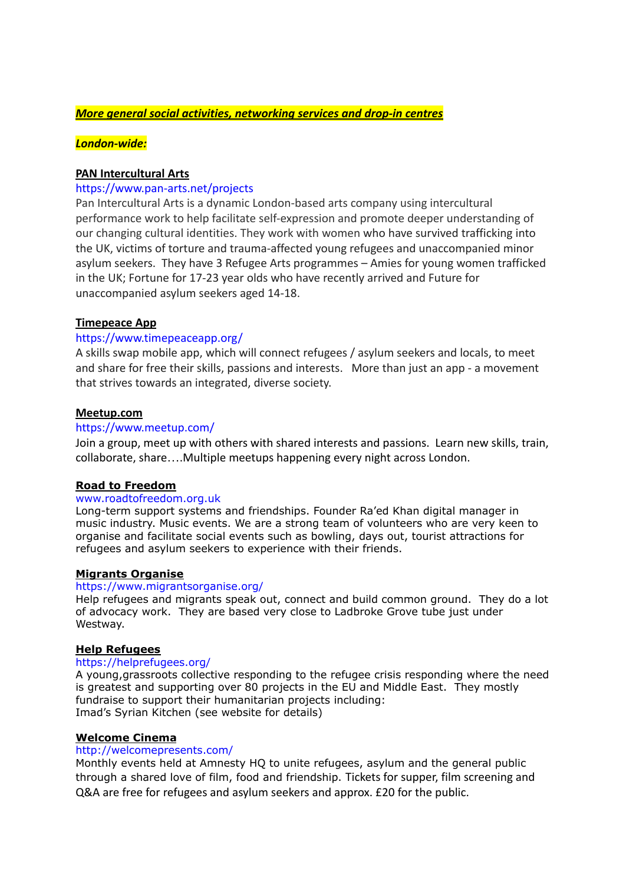## *More general social activities, networking services and drop-in centres*

## *London-wide:*

## **PAN Intercultural Arts**

### <https://www.pan-arts.net/projects>

Pan Intercultural Arts is a dynamic London-based arts company using intercultural performance work to help facilitate self-expression and promote deeper understanding of our changing cultural identities. They work with women who have survived trafficking into the UK, victims of torture and trauma-affected young refugees and unaccompanied minor asylum seekers. They have 3 Refugee Arts programmes – Amies for young women trafficked in the UK; Fortune for 17-23 year olds who have recently arrived and Future for unaccompanied asylum seekers aged 14-18.

### **Timepeace App**

## <https://www.timepeaceapp.org/>

A skills swap mobile app, which will connect refugees / asylum seekers and locals, to meet and share for free their skills, passions and interests. More than just an app - a movement that strives towards an integrated, diverse society.

### **Meetup.com**

### <https://www.meetup.com/>

Join a group, meet up with others with shared interests and passions. Learn new skills, train, collaborate, share….Multiple meetups happening every night across London.

### **Road to Freedom**

### [www.roadtofreedom.org.uk](https://htmlsig.com/t/000001BEKZF2)

Long-term support systems and friendships. Founder Ra'ed Khan digital manager in music industry. Music events. We are a strong team of volunteers who are very keen to organise and facilitate social events such as bowling, days out, tourist attractions for refugees and asylum seekers to experience with their friends.

### **Migrants Organise**

#### <https://www.migrantsorganise.org/>

Help refugees and migrants speak out, connect and build common ground. They do a lot of advocacy work. They are based very close to Ladbroke Grove tube just under Westway.

### **Help Refugees**

#### <https://helprefugees.org/>

A young,grassroots collective responding to the refugee crisis responding where the need is greatest and supporting over 80 projects in the EU and Middle East. They mostly fundraise to support their humanitarian projects including: Imad's Syrian Kitchen (see website for details)

### **Welcome Cinema**

#### <http://welcomepresents.com/>

Monthly events held at Amnesty HQ to unite refugees, asylum and the general public through a shared love of film, food and friendship. Tickets for supper, film screening and Q&A are free for refugees and asylum seekers and approx. £20 for the public.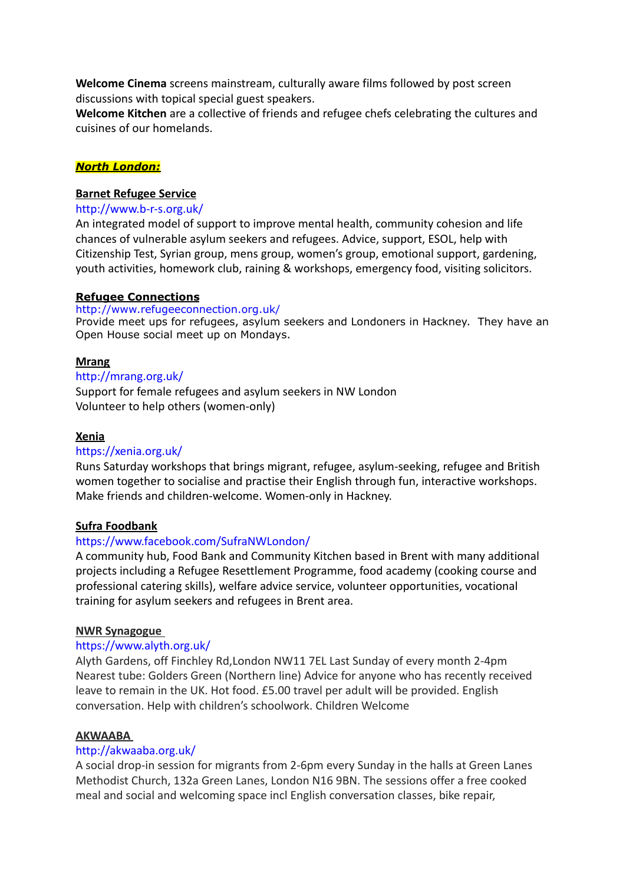**Welcome Cinema** screens mainstream, culturally aware films followed by post screen discussions with topical special guest speakers.

**Welcome Kitchen** are a collective of friends and refugee chefs celebrating the cultures and cuisines of our homelands.

## *North London:*

### **Barnet Refugee Service**

#### <http://www.b-r-s.org.uk/>

An integrated model of support to improve mental health, community cohesion and life chances of vulnerable asylum seekers and refugees. Advice, support, ESOL, help with Citizenship Test, Syrian group, mens group, women's group, emotional support, gardening, youth activities, homework club, raining & workshops, emergency food, visiting solicitors.

#### **Refugee Connections**

#### <http://www.refugeeconnection.org.uk/>

Provide meet ups for refugees, asylum seekers and Londoners in Hackney. They have an Open House social meet up on Mondays.

### **Mrang**

### <http://mrang.org.uk/>

Support for female refugees and asylum seekers in NW London Volunteer to help others (women-only)

#### **Xenia**

### <https://xenia.org.uk/>

Runs Saturday workshops that brings migrant, refugee, asylum-seeking, refugee and British women together to socialise and practise their English through fun, interactive workshops. Make friends and children-welcome. Women-only in Hackney.

### **Sufra Foodbank**

### <https://www.facebook.com/SufraNWLondon/>

A community hub, Food Bank and Community Kitchen based in Brent with many additional projects including a Refugee Resettlement Programme, food academy (cooking course and professional catering skills), welfare advice service, volunteer opportunities, vocational training for asylum seekers and refugees in Brent area.

#### **NWR Synagogue**

#### <https://www.alyth.org.uk/>

Alyth Gardens, off Finchley Rd,London NW11 7EL Last Sunday of every month 2-4pm Nearest tube: Golders Green (Northern line) Advice for anyone who has recently received leave to remain in the UK. Hot food. £5.00 travel per adult will be provided. English conversation. Help with children's schoolwork. Children Welcome

#### **AKWAABA**

## <http://akwaaba.org.uk/>

A social drop-in session for migrants from 2-6pm every Sunday in the halls at Green Lanes Methodist Church, 132a Green Lanes, London N16 9BN. The sessions offer a free cooked meal and social and welcoming space incl English conversation classes, bike repair,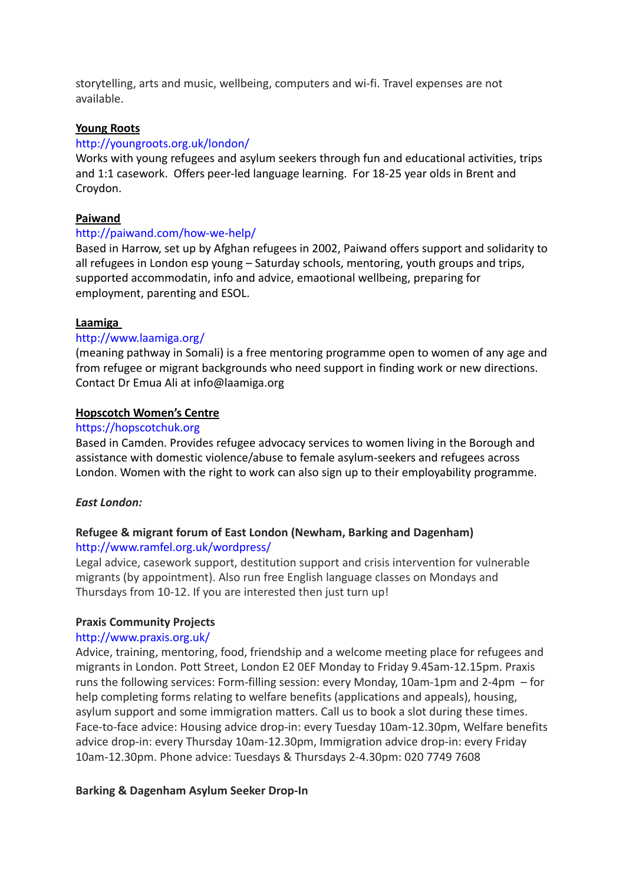storytelling, arts and music, wellbeing, computers and wi-fi. Travel expenses are not available.

## **Young Roots**

### <http://youngroots.org.uk/london/>

Works with young refugees and asylum seekers through fun and educational activities, trips and 1:1 casework. Offers peer-led language learning. For 18-25 year olds in Brent and Croydon.

## **Paiwand**

## <http://paiwand.com/how-we-help/>

Based in Harrow, set up by Afghan refugees in 2002, Paiwand offers support and solidarity to all refugees in London esp young – Saturday schools, mentoring, youth groups and trips, supported accommodatin, info and advice, emaotional wellbeing, preparing for employment, parenting and ESOL.

## **Laamiga**

## http://www.laamiga.org/

(meaning pathway in Somali) is a free mentoring programme open to women of any age and from refugee or migrant backgrounds who need support in finding work or new directions. Contact Dr Emua Ali at info@laamiga.org

## **Hopscotch Women's Centre**

### <https://hopscotchuk.org>

Based in Camden. Provides refugee advocacy services to women living in the Borough and assistance with domestic violence/abuse to female asylum-seekers and refugees across London. Women with the right to work can also sign up to their employability programme.

### *East London:*

# **Refugee & migrant forum of East London (Newham, Barking and Dagenham)**

<http://www.ramfel.org.uk/wordpress/>

Legal advice, casework support, destitution support and crisis intervention for vulnerable migrants (by appointment). Also run free English language classes on Mondays and Thursdays from 10-12. If you are interested then just turn up!

### **Praxis Community Projects**

### <http://www.praxis.org.uk/>

Advice, training, mentoring, food, friendship and a welcome meeting place for refugees and migrants in London. Pott Street, London E2 0EF Monday to Friday 9.45am-12.15pm. Praxis runs the following services: Form-filling session: every Monday, 10am-1pm and 2-4pm – for help completing forms relating to welfare benefits (applications and appeals), housing, asylum support and some immigration matters. Call us to book a slot during these times. Face-to-face advice: Housing advice drop-in: every Tuesday 10am-12.30pm, Welfare benefits advice drop-in: every Thursday 10am-12.30pm, Immigration advice drop-in: every Friday 10am-12.30pm. Phone advice: Tuesdays & Thursdays 2-4.30pm: 020 7749 7608

# **Barking & Dagenham Asylum Seeker Drop-In**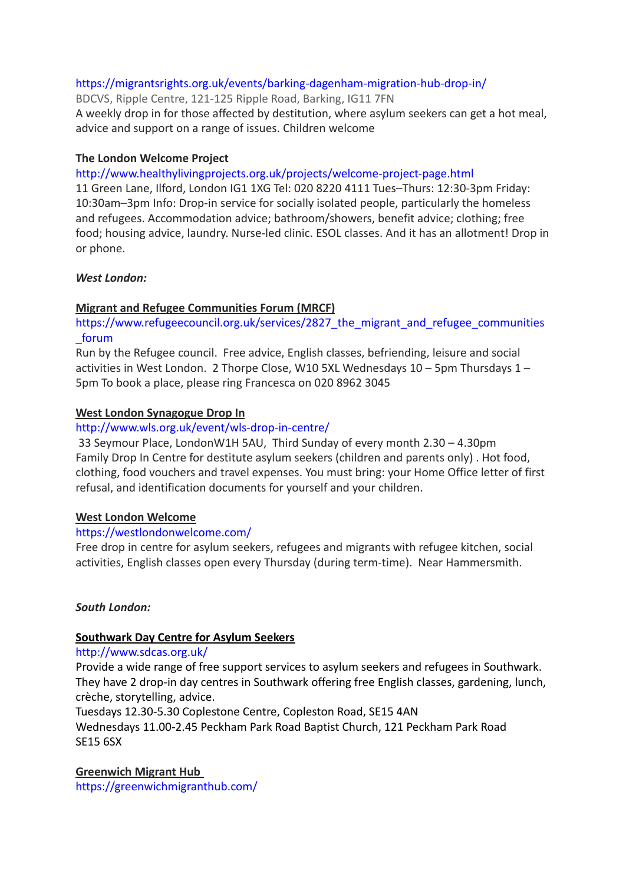# <https://migrantsrights.org.uk/events/barking-dagenham-migration-hub-drop-in/>

BDCVS, Ripple Centre, 121-125 Ripple Road, Barking, IG11 7FN A weekly drop in for those affected by destitution, where asylum seekers can get a hot meal, advice and support on a range of issues. Children welcome

# **The London Welcome Project**

<http://www.healthylivingprojects.org.uk/projects/welcome-project-page.html>

11 Green Lane, Ilford, London IG1 1XG Tel: 020 8220 4111 Tues–Thurs: 12:30-3pm Friday: 10:30am–3pm Info: Drop-in service for socially isolated people, particularly the homeless and refugees. Accommodation advice; bathroom/showers, benefit advice; clothing; free food; housing advice, laundry. Nurse-led clinic. ESOL classes. And it has an allotment! Drop in or phone.

# *West London:*

# **Migrant and Refugee Communities Forum (MRCF)**

https://www.refugeecouncil.org.uk/services/2827 the migrant and refugee communities [\\_forum](https://www.refugeecouncil.org.uk/services/2827_the_migrant_and_refugee_communities_forum)

Run by the Refugee council. Free advice, English classes, befriending, leisure and social activities in West London. 2 Thorpe Close, W10 5XL Wednesdays 10 – 5pm Thursdays 1 – 5pm To book a place, please ring Francesca on 020 8962 3045

# **West London Synagogue Drop In**

# <http://www.wls.org.uk/event/wls-drop-in-centre/>

33 Seymour Place, LondonW1H 5AU, Third Sunday of every month 2.30 – 4.30pm Family Drop In Centre for destitute asylum seekers (children and parents only) . Hot food, clothing, food vouchers and travel expenses. You must bring: your Home Office letter of first refusal, and identification documents for yourself and your children.

# **West London Welcome**

# <https://westlondonwelcome.com/>

Free drop in centre for asylum seekers, refugees and migrants with refugee kitchen, social activities, English classes open every Thursday (during term-time). Near Hammersmith.

# *South London:*

# **Southwark Day Centre for Asylum Seekers**

# <http://www.sdcas.org.uk/>

Provide a wide range of free support services to asylum seekers and refugees in Southwark. They have 2 drop-in day centres in Southwark offering free English classes, gardening, lunch, crèche, storytelling, advice.

Tuesdays 12.30-5.30 Coplestone Centre, Copleston Road, SE15 4AN

Wednesdays 11.00-2.45 Peckham Park Road Baptist Church, 121 Peckham Park Road SE15 6SX

**Greenwich Migrant Hub** <https://greenwichmigranthub.com/>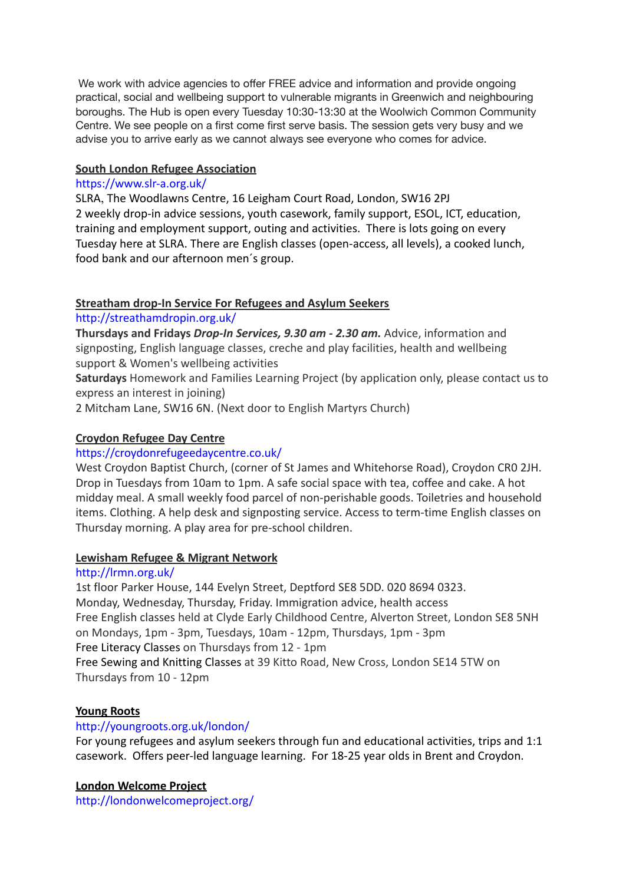We work with advice agencies to offer FREE advice and information and provide ongoing practical, social and wellbeing support to vulnerable migrants in Greenwich and neighbouring boroughs. The Hub is open every Tuesday 10:30-13:30 at the Woolwich Common Community Centre. We see people on a first come first serve basis. The session gets very busy and we advise you to arrive early as we cannot always see everyone who comes for advice.

# **South London Refugee Association**

# <https://www.slr-a.org.uk/>

SLRA, The Woodlawns Centre, 16 Leigham Court Road, London, SW16 2PJ 2 weekly drop-in advice sessions, youth casework, family support, ESOL, ICT, education, training and employment support, outing and activities. There is lots going on every Tuesday here at SLRA. There are English classes (open-access, all levels), a cooked lunch, food bank and our afternoon men´s group.

# **Streatham drop-In Service For Refugees and Asylum Seekers**

# <http://streathamdropin.org.uk/>

**Thursdays and Fridays** *Drop-In Services, 9.30 am - 2.30 am.* Advice, information and signposting, English language classes, creche and play facilities, health and wellbeing support & Women's wellbeing activities

**Saturdays** Homework and Families Learning Project (by application only, please contact us to express an interest in joining)

2 Mitcham Lane, SW16 6N. (Next door to English Martyrs Church)

# **Croydon Refugee Day Centre**

# <https://croydonrefugeedaycentre.co.uk/>

West Croydon Baptist Church, (corner of St James and Whitehorse Road), Croydon CR0 2JH. Drop in Tuesdays from 10am to 1pm. A safe social space with tea, coffee and cake. A hot midday meal. A small weekly food parcel of non-perishable goods. Toiletries and household items. Clothing. A help desk and signposting service. Access to term-time English classes on Thursday morning. A play area for pre-school children.

# **Lewisham Refugee & Migrant Network**

# <http://lrmn.org.uk/>

1st floor Parker House, 144 Evelyn Street, Deptford SE8 5DD. 020 8694 0323. Monday, Wednesday, Thursday, Friday. Immigration advice, health access Free English classes held at Clyde Early Childhood Centre, Alverton Street, London SE8 5NH on Mondays, 1pm - 3pm, Tuesdays, 10am - 12pm, Thursdays, 1pm - 3pm Free Literacy Classes on Thursdays from 12 - 1pm Free Sewing and Knitting Classes at 39 Kitto Road, New Cross, London SE14 5TW on Thursdays from 10 - 12pm

# **Young Roots**

# <http://youngroots.org.uk/london/>

For young refugees and asylum seekers through fun and educational activities, trips and 1:1 casework. Offers peer-led language learning. For 18-25 year olds in Brent and Croydon.

# **London Welcome Project**

<http://londonwelcomeproject.org/>